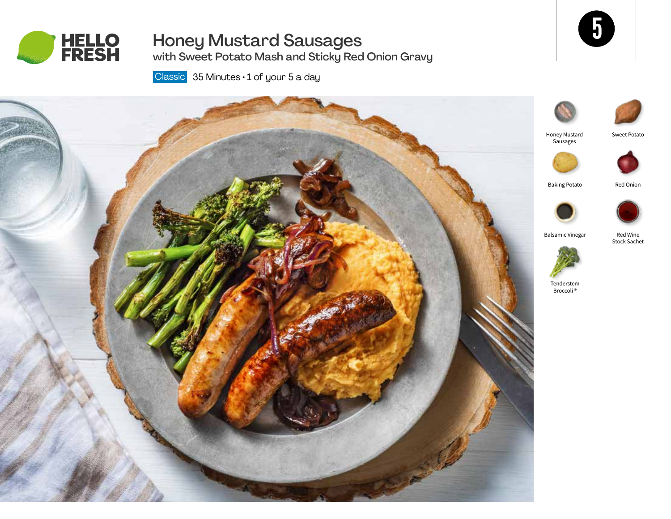

# Honey Mustard Sausages with Sweet Potato Mash and Sticky Red Onion Gravy



Classic 35 Minutes · 1 of your 5 a day





Sweet Potato



Red Wine Stock Sachet